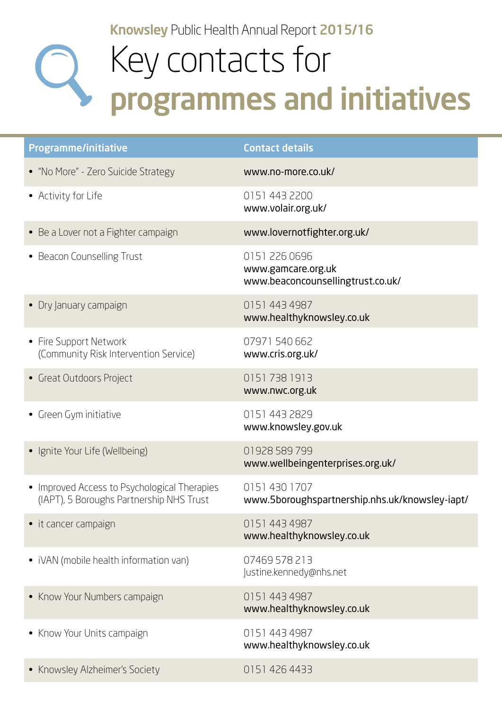Knowsley Public Health Annual Report 2015/16

## Key contacts for programmes and initiatives

| <b>Programme/initiative</b>                                                              | <b>Contact details</b>                                                   |
|------------------------------------------------------------------------------------------|--------------------------------------------------------------------------|
| • "No More" - Zero Suicide Strategy                                                      | www.no-more.co.uk/                                                       |
| • Activity for Life                                                                      | 0151 443 2200<br>www.volair.org.uk/                                      |
| • Be a Lover not a Fighter campaign                                                      | www.lovernotfighter.org.uk/                                              |
| • Beacon Counselling Trust                                                               | 0151 226 0696<br>www.gamcare.org.uk<br>www.beaconcounsellingtrust.co.uk/ |
| • Dry January campaign                                                                   | 0151 443 4987<br>www.healthyknowsley.co.uk                               |
| • Fire Support Network<br>(Community Risk Intervention Service)                          | 07971 540 662<br>www.cris.org.uk/                                        |
| • Great Outdoors Project                                                                 | 01517381913<br>www.nwc.org.uk                                            |
| • Green Gym initiative                                                                   | 0151 443 2829<br>www.knowsley.gov.uk                                     |
| • Ignite Your Life (Wellbeing)                                                           | 01928 589 799<br>www.wellbeingenterprises.org.uk/                        |
| • Improved Access to Psychological Therapies<br>(IAPT), 5 Boroughs Partnership NHS Trust | 01514301707<br>www.5boroughspartnership.nhs.uk/knowsley-iapt/            |
| • it cancer campaign                                                                     | 0151 443 4987<br>www.healthyknowsley.co.uk                               |
| • iVAN (mobile health information van)                                                   | 07469 578 213<br>Justine.kennedy@nhs.net                                 |
| • Know Your Numbers campaign                                                             | 0151 443 4987<br>www.healthyknowsley.co.uk                               |
| • Know Your Units campaign                                                               | 0151 443 4987<br>www.healthyknowsley.co.uk                               |
| • Knowsley Alzheimer's Society                                                           | 0151 426 4433                                                            |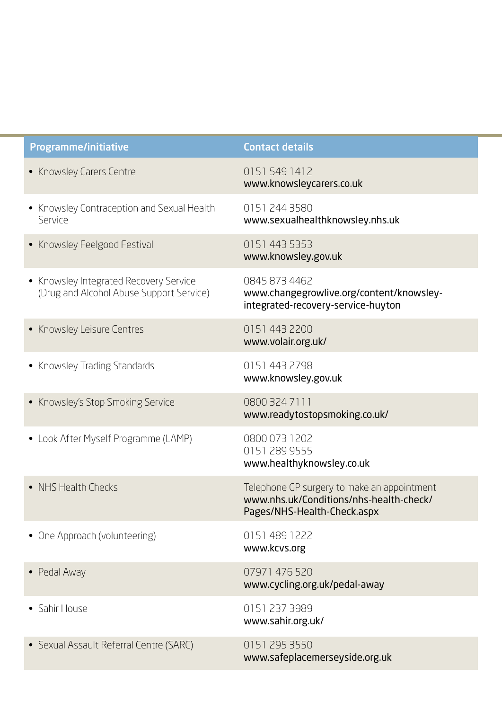| <b>Programme/initiative</b>                                                        | <b>Contact details</b>                                                                                                |
|------------------------------------------------------------------------------------|-----------------------------------------------------------------------------------------------------------------------|
| • Knowsley Carers Centre                                                           | 01515491412<br>www.knowsleycarers.co.uk                                                                               |
| • Knowsley Contraception and Sexual Health<br>Service                              | 0151 244 3580<br>www.sexualhealthknowsley.nhs.uk                                                                      |
| • Knowsley Feelgood Festival                                                       | 0151 443 5353<br>www.knowsley.gov.uk                                                                                  |
| • Knowsley Integrated Recovery Service<br>(Drug and Alcohol Abuse Support Service) | 0845 873 4462<br>www.changegrowlive.org/content/knowsley-<br>integrated-recovery-service-huyton                       |
| • Knowsley Leisure Centres                                                         | 0151 443 2200<br>www.volair.org.uk/                                                                                   |
| • Knowsley Trading Standards                                                       | 0151 443 2798<br>www.knowsley.gov.uk                                                                                  |
| • Knowsley's Stop Smoking Service                                                  | 0800 324 7111<br>www.readytostopsmoking.co.uk/                                                                        |
| • Look After Myself Programme (LAMP)                                               | 0800 073 1202<br>0151 289 9555<br>www.healthyknowsley.co.uk                                                           |
| • NHS Health Checks                                                                | Telephone GP surgery to make an appointment<br>www.nhs.uk/Conditions/nhs-health-check/<br>Pages/NHS-Health-Check.aspx |
| • One Approach (volunteering)                                                      | 0151 489 1222<br>www.kcvs.org                                                                                         |
| • Pedal Away                                                                       | 07971 476 520<br>www.cycling.org.uk/pedal-away                                                                        |
| • Sahir House                                                                      | 0151 237 3989<br>www.sahir.org.uk/                                                                                    |
| • Sexual Assault Referral Centre (SARC)                                            | 0151 295 3550<br>www.safeplacemerseyside.org.uk                                                                       |